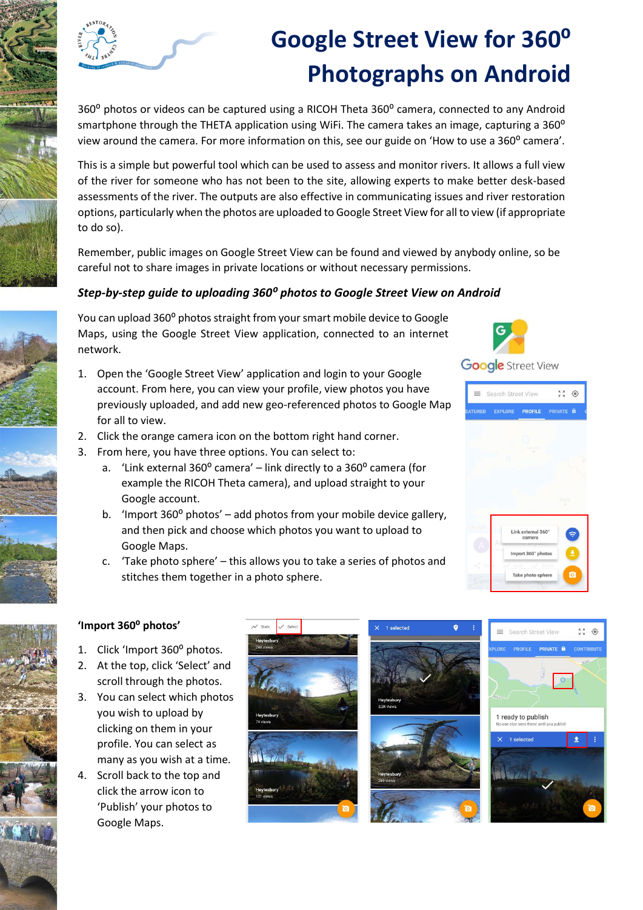

## **Google Street View for 360<sup>o</sup> Photographs on Android**

360° photos or videos can be captured using a RICOH Theta 360° camera, connected to any Android smartphone through the THETA application using WiFi. The camera takes an image, capturing a 360<sup>°</sup> view around the camera. For more information on this, see our guide on 'How to use a 360° camera'.

This is a simple but powerful tool which can be used to assess and monitor rivers. It allows a full view of the river for someone who has not been to the site, allowing experts to make better desk-based assessments of the river. The outputs are also effective in communicating issues and river restoration options, particularly when the photos are uploaded to Google Street View for all to view (if appropriate to do so).

Remember, public images on Google Street View can be found and viewed by anybody online, so be careful not to share images in private locations or without necessary permissions.

## *Step-by-step guide to uploading 360⁰ photos to Google Street View on Android*

You can upload 360<sup>°</sup> photos straight from your smart mobile device to Google Maps, using the Google Street View application, connected to an internet network.

- 1. Open the 'Google Street View' application and login to your Google account. From here, you can view your profile, view photos you have previously uploaded, and add new geo-referenced photos to Google Map for all to view.
- 2. Click the orange camera icon on the bottom right hand corner.
- 3. From here, you have three options. You can select to:
	- a. 'Link external  $360^{\circ}$  camera' link directly to a  $360^{\circ}$  camera (for example the RICOH Theta camera), and upload straight to your Google account.
	- b. 'Import  $360^{\circ}$  photos' add photos from your mobile device gallery, and then pick and choose which photos you want to upload to Google Maps.
	- c. 'Take photo sphere' this allows you to take a series of photos and stitches them together in a photo sphere.



**Google** Street View





## **'Import 360⁰ photos'**

- 1. Click 'Import 360° photos.
- 2. At the top, click 'Select' and scroll through the photos.
- 3. You can select which photos you wish to upload by clicking on them in your profile. You can select as many as you wish at a time.
- 4. Scroll back to the top and click the arrow icon to 'Publish' your photos to Google Maps.

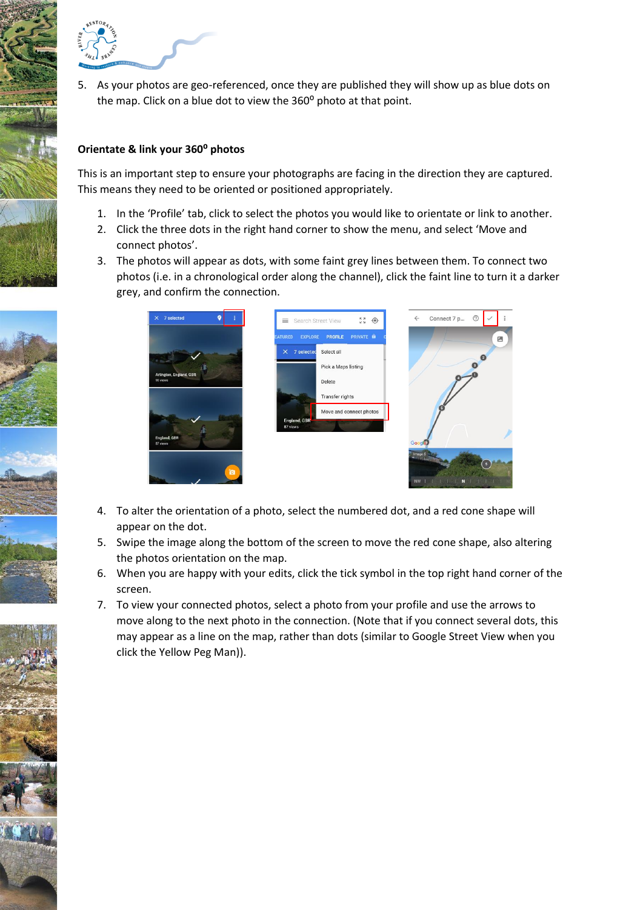

5. As your photos are geo-referenced, once they are published they will show up as blue dots on the map. Click on a blue dot to view the 360° photo at that point.

## **Orientate & link your 360⁰ photos**

This is an important step to ensure your photographs are facing in the direction they are captured. This means they need to be oriented or positioned appropriately.

- 1. In the 'Profile' tab, click to select the photos you would like to orientate or link to another.
- 2. Click the three dots in the right hand corner to show the menu, and select 'Move and connect photos'.
- 3. The photos will appear as dots, with some faint grey lines between them. To connect two photos (i.e. in a chronological order along the channel), click the faint line to turn it a darker grey, and confirm the connection.



- 4. To alter the orientation of a photo, select the numbered dot, and a red cone shape will appear on the dot.
- 5. Swipe the image along the bottom of the screen to move the red cone shape, also altering the photos orientation on the map.
- 6. When you are happy with your edits, click the tick symbol in the top right hand corner of the screen.
- 7. To view your connected photos, select a photo from your profile and use the arrows to move along to the next photo in the connection. (Note that if you connect several dots, this may appear as a line on the map, rather than dots (similar to Google Street View when you click the Yellow Peg Man)).